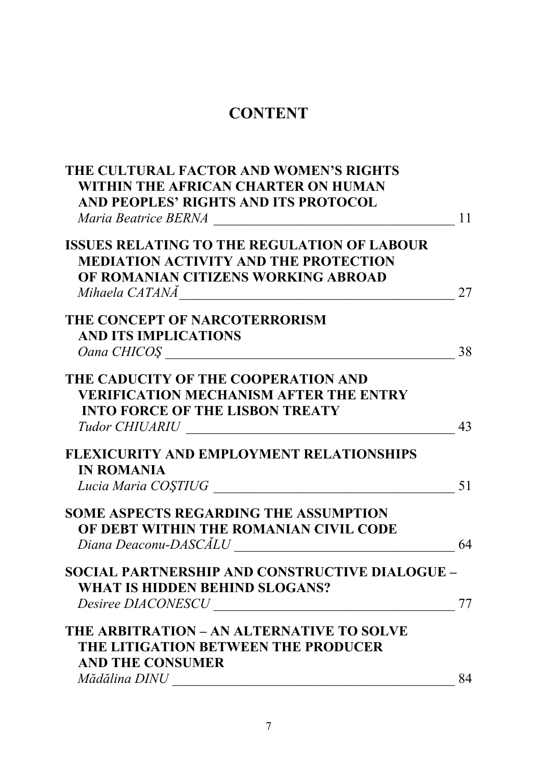## **CONTENT**

| THE CULTURAL FACTOR AND WOMEN'S RIGHTS                                                                                                 |    |
|----------------------------------------------------------------------------------------------------------------------------------------|----|
| WITHIN THE AFRICAN CHARTER ON HUMAN                                                                                                    |    |
| AND PEOPLES' RIGHTS AND ITS PROTOCOL                                                                                                   |    |
|                                                                                                                                        | 11 |
| <b>ISSUES RELATING TO THE REGULATION OF LABOUR</b>                                                                                     |    |
| <b>MEDIATION ACTIVITY AND THE PROTECTION</b>                                                                                           |    |
| OF ROMANIAN CITIZENS WORKING ABROAD                                                                                                    |    |
| Mihaela CATANĂ<br><u> 1980 - Jan Barat, margaret amerikan basal dan berasal dari berasal dalam basal dan berasal dan berasal dan b</u> | 27 |
| THE CONCEPT OF NARCOTERRORISM                                                                                                          |    |
| <b>AND ITS IMPLICATIONS</b>                                                                                                            |    |
| Oana CHICOS                                                                                                                            | 38 |
| THE CADUCITY OF THE COOPERATION AND                                                                                                    |    |
| <b>VERIFICATION MECHANISM AFTER THE ENTRY</b>                                                                                          |    |
| <b>INTO FORCE OF THE LISBON TREATY</b>                                                                                                 |    |
| Tudor CHIUARIU                                                                                                                         | 43 |
| <b>FLEXICURITY AND EMPLOYMENT RELATIONSHIPS</b>                                                                                        |    |
| <b>IN ROMANIA</b>                                                                                                                      |    |
| Lucia Maria COȘTIUG                                                                                                                    | 51 |
| <b>SOME ASPECTS REGARDING THE ASSUMPTION</b>                                                                                           |    |
| OF DEBT WITHIN THE ROMANIAN CIVIL CODE                                                                                                 |    |
| Diana Deaconu-DASCĂLU                                                                                                                  | 64 |
| <b>SOCIAL PARTNERSHIP AND CONSTRUCTIVE DIALOGUE -</b>                                                                                  |    |
| WHAT IS HIDDEN BEHIND SLOGANS?                                                                                                         |    |
| <b>Desiree DIACONESCU</b>                                                                                                              | 77 |
| THE ARBITRATION – AN ALTERNATIVE TO SOLVE                                                                                              |    |
| THE LITIGATION BETWEEN THE PRODUCER                                                                                                    |    |
| <b>AND THE CONSUMER</b>                                                                                                                |    |
| Mădălina DINU                                                                                                                          | 84 |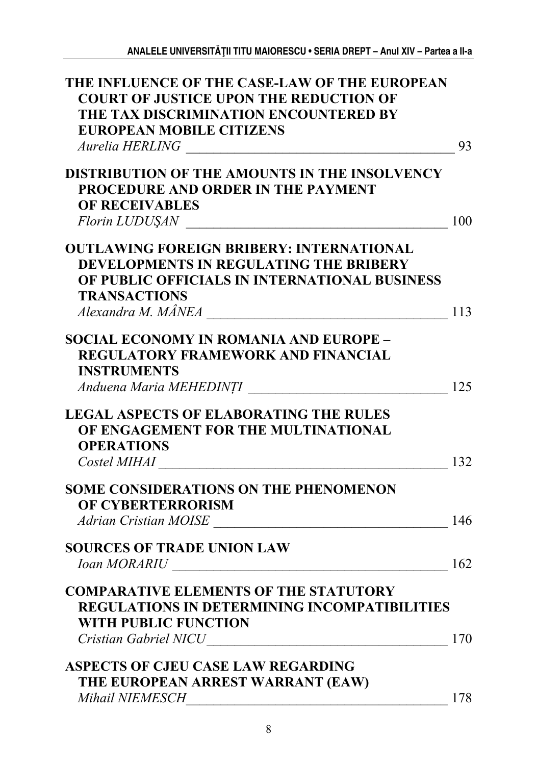| THE INFLUENCE OF THE CASE-LAW OF THE EUROPEAN        |     |
|------------------------------------------------------|-----|
| <b>COURT OF JUSTICE UPON THE REDUCTION OF</b>        |     |
| THE TAX DISCRIMINATION ENCOUNTERED BY                |     |
| <b>EUROPEAN MOBILE CITIZENS</b>                      |     |
|                                                      | 93  |
|                                                      |     |
| <b>DISTRIBUTION OF THE AMOUNTS IN THE INSOLVENCY</b> |     |
| <b>PROCEDURE AND ORDER IN THE PAYMENT</b>            |     |
| <b>OF RECEIVABLES</b>                                |     |
|                                                      | 100 |
|                                                      |     |
| <b>OUTLAWING FOREIGN BRIBERY: INTERNATIONAL</b>      |     |
| DEVELOPMENTS IN REGULATING THE BRIBERY               |     |
| OF PUBLIC OFFICIALS IN INTERNATIONAL BUSINESS        |     |
|                                                      |     |
| <b>TRANSACTIONS</b>                                  |     |
|                                                      | 113 |
| <b>SOCIAL ECONOMY IN ROMANIA AND EUROPE -</b>        |     |
| <b>REGULATORY FRAMEWORK AND FINANCIAL</b>            |     |
|                                                      |     |
| <b>INSTRUMENTS</b>                                   |     |
| Anduena Maria MEHEDINȚI                              | 125 |
|                                                      |     |
| <b>LEGAL ASPECTS OF ELABORATING THE RULES</b>        |     |
| OF ENGAGEMENT FOR THE MULTINATIONAL                  |     |
| <b>OPERATIONS</b>                                    |     |
|                                                      | 132 |
|                                                      |     |
| <b>SOME CONSIDERATIONS ON THE PHENOMENON</b>         |     |
| <b>OF CYBERTERRORISM</b>                             |     |
| Adrian Cristian MOISE                                | 146 |
|                                                      |     |
| <b>SOURCES OF TRADE UNION LAW</b>                    |     |
| Ioan MORARIU                                         | 162 |
| <b>COMPARATIVE ELEMENTS OF THE STATUTORY</b>         |     |
|                                                      |     |
| <b>REGULATIONS IN DETERMINING INCOMPATIBILITIES</b>  |     |
| <b>WITH PUBLIC FUNCTION</b>                          |     |
|                                                      | 170 |
| ASPECTS OF CJEU CASE LAW REGARDING                   |     |
|                                                      |     |
| THE EUROPEAN ARREST WARRANT (EAW)                    |     |
| Mihail NIEMESCH                                      | 178 |